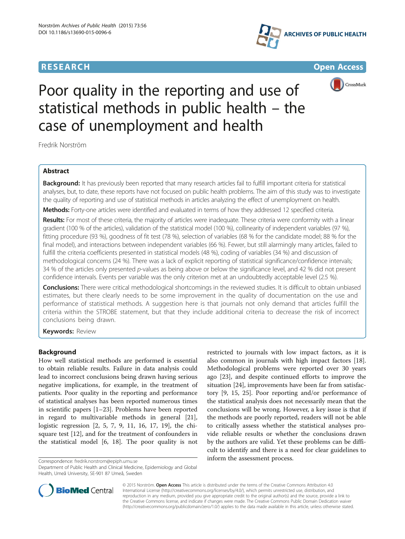# **RESEARCH CHE Open Access**





# Poor quality in the reporting and use of statistical methods in public health – the case of unemployment and health

Fredrik Norström

# Abstract

Background: It has previously been reported that many research articles fail to fulfill important criteria for statistical analyses, but, to date, these reports have not focused on public health problems. The aim of this study was to investigate the quality of reporting and use of statistical methods in articles analyzing the effect of unemployment on health.

Methods: Forty-one articles were identified and evaluated in terms of how they addressed 12 specified criteria.

Results: For most of these criteria, the majority of articles were inadequate. These criteria were conformity with a linear gradient (100 % of the articles), validation of the statistical model (100 %), collinearity of independent variables (97 %), fitting procedure (93 %), goodness of fit test (78 %), selection of variables (68 % for the candidate model; 88 % for the final model), and interactions between independent variables (66 %). Fewer, but still alarmingly many articles, failed to fulfill the criteria coefficients presented in statistical models (48 %), coding of variables (34 %) and discussion of methodological concerns (24 %). There was a lack of explicit reporting of statistical significance/confidence intervals; 34 % of the articles only presented p-values as being above or below the significance level, and 42 % did not present confidence intervals. Events per variable was the only criterion met at an undoubtedly acceptable level (2.5 %).

Conclusions: There were critical methodological shortcomings in the reviewed studies. It is difficult to obtain unbiased estimates, but there clearly needs to be some improvement in the quality of documentation on the use and performance of statistical methods. A suggestion here is that journals not only demand that articles fulfill the criteria within the STROBE statement, but that they include additional criteria to decrease the risk of incorrect conclusions being drawn.

**Keywords: Review** 

# Background

How well statistical methods are performed is essential to obtain reliable results. Failure in data analysis could lead to incorrect conclusions being drawn having serious negative implications, for example, in the treatment of patients. Poor quality in the reporting and performance of statistical analyses has been reported numerous times in scientific papers [\[1](#page-8-0)–[23](#page-8-0)]. Problems have been reported in regard to multivariable methods in general [\[21](#page-8-0)], logistic regression [[2, 5](#page-8-0), [7](#page-8-0), [9](#page-8-0), [11, 16](#page-8-0), [17](#page-8-0), [19\]](#page-8-0), the chisquare test [\[12](#page-8-0)], and for the treatment of confounders in the statistical model [[6](#page-8-0), [18\]](#page-8-0). The poor quality is not

Department of Public Health and Clinical Medicine, Epidemiology and Global Health, Umeå University, SE-901 87 Umeå, Sweden

restricted to journals with low impact factors, as it is also common in journals with high impact factors [\[18](#page-8-0)]. Methodological problems were reported over 30 years ago [[23](#page-8-0)], and despite continued efforts to improve the situation [\[24](#page-8-0)], improvements have been far from satisfactory [[9, 15, 25](#page-8-0)]. Poor reporting and/or performance of the statistical analysis does not necessarily mean that the conclusions will be wrong. However, a key issue is that if the methods are poorly reported, readers will not be able to critically assess whether the statistical analyses provide reliable results or whether the conclusions drawn by the authors are valid. Yet these problems can be difficult to identify and there is a need for clear guidelines to inform the assessment process. Correspondence: [fredrik.norstrom@epiph.umu.se](mailto:fredrik.norstrom@epiph.umu.se)



© 2015 Norström. Open Access This article is distributed under the terms of the Creative Commons Attribution 4.0 International License [\(http://creativecommons.org/licenses/by/4.0/](http://creativecommons.org/licenses/by/4.0/)), which permits unrestricted use, distribution, and reproduction in any medium, provided you give appropriate credit to the original author(s) and the source, provide a link to the Creative Commons license, and indicate if changes were made. The Creative Commons Public Domain Dedication waiver [\(http://creativecommons.org/publicdomain/zero/1.0/](http://creativecommons.org/publicdomain/zero/1.0/)) applies to the data made available in this article, unless otherwise stated.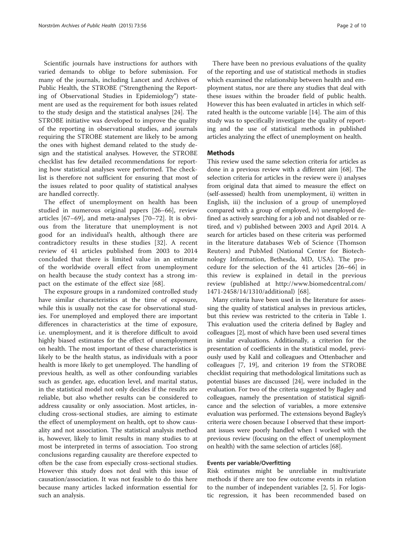Scientific journals have instructions for authors with varied demands to oblige to before submission. For many of the journals, including Lancet and Archives of Public Health, the STROBE ("Strengthening the Reporting of Observational Studies in Epidemiology") statement are used as the requirement for both issues related to the study design and the statistical analyses [[24\]](#page-8-0). The STROBE initiative was developed to improve the quality of the reporting in observational studies, and journals requiring the STROBE statement are likely to be among the ones with highest demand related to the study design and the statistical analyses. However, the STROBE checklist has few detailed recommendations for reporting how statistical analyses were performed. The checklist is therefore not sufficient for ensuring that most of the issues related to poor quality of statistical analyses are handled correctly.

The effect of unemployment on health has been studied in numerous original papers [[26](#page-8-0)–[66\]](#page-9-0), review articles [\[67](#page-9-0)–[69\]](#page-9-0), and meta-analyses [[70](#page-9-0)–[72](#page-9-0)]. It is obvious from the literature that unemployment is not good for an individual's health, although there are contradictory results in these studies [[32](#page-8-0)]. A recent review of 41 articles published from 2003 to 2014 concluded that there is limited value in an estimate of the worldwide overall effect from unemployment on health because the study context has a strong impact on the estimate of the effect size [[68](#page-9-0)].

The exposure groups in a randomized controlled study have similar characteristics at the time of exposure, while this is usually not the case for observational studies. For unemployed and employed there are important differences in characteristics at the time of exposure, i.e. unemployment, and it is therefore difficult to avoid highly biased estimates for the effect of unemployment on health. The most important of these characteristics is likely to be the health status, as individuals with a poor health is more likely to get unemployed. The handling of previous health, as well as other confounding variables such as gender, age, education level, and marital status, in the statistical model not only decides if the results are reliable, but also whether results can be considered to address causality or only association. Most articles, including cross-sectional studies, are aiming to estimate the effect of unemployment on health, opt to show causality and not association. The statistical analysis method is, however, likely to limit results in many studies to at most be interpreted in terms of association. Too strong conclusions regarding causality are therefore expected to often be the case from especially cross-sectional studies. However this study does not deal with this issue of causation/association. It was not feasible to do this here because many articles lacked information essential for such an analysis.

There have been no previous evaluations of the quality of the reporting and use of statistical methods in studies which examined the relationship between health and employment status, nor are there any studies that deal with these issues within the broader field of public health. However this has been evaluated in articles in which selfrated health is the outcome variable [[14\]](#page-8-0). The aim of this study was to specifically investigate the quality of reporting and the use of statistical methods in published articles analyzing the effect of unemployment on health.

# **Methods**

This review used the same selection criteria for articles as done in a previous review with a different aim [\[68\]](#page-9-0). The selection criteria for articles in the review were i) analyses from original data that aimed to measure the effect on (self-assessed) health from unemployment, ii) written in English, iii) the inclusion of a group of unemployed compared with a group of employed, iv) unemployed defined as actively searching for a job and not disabled or retired, and v) published between 2003 and April 2014. A search for articles based on these criteria was performed in the literature databases Web of Science (Thomson Reuters) and PubMed (National Center for Biotechnology Information, Bethesda, MD, USA). The procedure for the selection of the 41 articles [[26](#page-8-0)–[66\]](#page-9-0) in this review is explained in detail in the previous review (published at [http://www.biomedcentral.com/](http://www.biomedcentral.com/1471-2458/14/1310/additional) [1471-2458/14/1310/additional\)](http://www.biomedcentral.com/1471-2458/14/1310/additional) [\[68](#page-9-0)].

Many criteria have been used in the literature for assessing the quality of statistical analyses in previous articles, but this review was restricted to the criteria in Table [1](#page-2-0). This evaluation used the criteria defined by Bagley and colleagues [\[2](#page-8-0)], most of which have been used several times in similar evaluations. Additionally, a criterion for the presentation of coefficients in the statistical model, previously used by Kalil and colleagues and Ottenbacher and colleagues [[7, 19](#page-8-0)], and criterion 19 from the STROBE checklist requiring that methodological limitations such as potential biases are discussed [\[24\]](#page-8-0), were included in the evaluation. For two of the criteria suggested by Bagley and colleagues, namely the presentation of statistical significance and the selection of variables, a more extensive evaluation was performed. The extensions beyond Bagley's criteria were chosen because I observed that these important issues were poorly handled when I worked with the previous review (focusing on the effect of unemployment on health) with the same selection of articles [[68](#page-9-0)].

#### Events per variable/Overfitting

Risk estimates might be unreliable in multivariate methods if there are too few outcome events in relation to the number of independent variables [\[2, 5](#page-8-0)]. For logistic regression, it has been recommended based on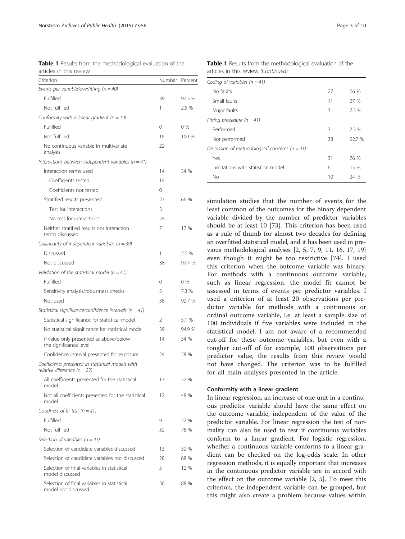<span id="page-2-0"></span>

|                         |  | <b>Table 1</b> Results from the methodological evaluation of the |  |  |
|-------------------------|--|------------------------------------------------------------------|--|--|
| articles in this review |  |                                                                  |  |  |

| Criterion                                                                             | <b>Number</b> | Percent |
|---------------------------------------------------------------------------------------|---------------|---------|
| Events per variable/overfitting ( $n = 40$ )                                          |               |         |
| Fulfilled                                                                             | 39            | 97.5 %  |
| Not fulfilled                                                                         | 1             | 2.5 %   |
| Conformity with a linear gradient ( $n = 19$ )                                        |               |         |
| Fulfilled                                                                             | 0             | $0\%$   |
| Not fulfilled                                                                         | 19            | 100 %   |
| No continuous variable in multivariate<br>analysis                                    | 22            |         |
| Interactions between independent variables ( $n = 41$ )                               |               |         |
| Interaction terms used                                                                | 14            | 34 %    |
| Coefficients tested                                                                   | 14            |         |
| Coefficients not tested                                                               | 0             |         |
| Stratified results presented                                                          | 27            | 66 %    |
| Test for interactions                                                                 | 3             |         |
| No test for interactions                                                              | 24            |         |
| Neither stratified results nor interaction<br>terms discussed                         | 7             | 17 %    |
| Collinearity of independent variables ( $n = 39$ )                                    |               |         |
| Discussed                                                                             | 1             | 2.6 %   |
| Not discussed                                                                         | 38            | 97.4 %  |
| Validation of the statistical model ( $n = 41$ )                                      |               |         |
| Fulfilled                                                                             | 0             | 0%      |
| Sensitivity analysis/robustness checks                                                | 3             | 7.3 %   |
| Not used                                                                              | 38            | 92.7 %  |
| Statistical significance/confidence intervals ( $n = 41$ )                            |               |         |
| Statistical significance for statistical model                                        | 2             | 5.1 %   |
| No statistical significance for statistical model                                     | 39            | 94.9 %  |
| P-value only presented as above/below<br>the significance level                       | 14            | 34 %    |
| Confidence interval presented for exposure                                            | 24            | 58 %    |
| Coefficients presented in statistical models with<br>relative difference ( $n = 23$ ) |               |         |
| All coefficients presented for the statistical<br>model                               | 13            | 52 %    |
| Not all coefficients presented for the statistical<br>model                           | 12            | 48 %    |
| Goodness of fit test ( $n = 41$ )                                                     |               |         |
| Fulfilled                                                                             | 9             | 22 %    |
| Not fulfilled                                                                         | 32            | 78 %    |
| Selection of variables ( $n = 41$ )                                                   |               |         |
| Selection of candidate variables discussed                                            | 13            | 32 %    |
| Selection of candidate variables not discussed                                        | 28            | 68 %    |
| Selection of final variables in statistical<br>model discussed                        | 5             | 12 %    |
| Selection of final variables in statistical<br>model not discussed                    | 36            | 88 %    |
|                                                                                       |               |         |

Table 1 Results from the methodological evaluation of the articles in this review (Continued)

| Coding of variables $(n = 41)$                     |    |        |  |
|----------------------------------------------------|----|--------|--|
| No faults                                          | 27 | 66 %   |  |
| Small faults                                       | 11 | 27 %   |  |
| Major faults                                       | 3  | 7.3 %  |  |
| Fitting procedure ( $n = 41$ )                     |    |        |  |
| Performed                                          | 3  | 7.3 %  |  |
| Not performed                                      | 38 | 92.7 % |  |
| Discussion of methodological concerns ( $n = 41$ ) |    |        |  |
| Yes                                                | 31 | 76 %   |  |
| l imitations with statistical model                | 6  | 15 %   |  |
| Nο                                                 | 10 | 24 %   |  |
|                                                    |    |        |  |

simulation studies that the number of events for the least common of the outcomes for the binary dependent variable divided by the number of predictor variables should be at least 10 [[73](#page-9-0)]. This criterion has been used as a rule of thumb for almost two decades for defining an overfitted statistical model, and it has been used in previous methodological analyses [[2, 5](#page-8-0), [7](#page-8-0), [9](#page-8-0), [11](#page-8-0), [16, 17, 19](#page-8-0)] even though it might be too restrictive [[74\]](#page-9-0). I used this criterion when the outcome variable was binary. For methods with a continuous outcome variable, such as linear regression, the model fit cannot be assessed in terms of events per predictor variables. I used a criterion of at least 20 observations per predictor variable for methods with a continuous or ordinal outcome variable, i.e. at least a sample size of 100 individuals if five variables were included in the statistical model. I am not aware of a recommended cut-off for these outcome variables, but even with a tougher cut-off of for example, 100 observations per predictor value, the results from this review would not have changed. The criterion was to be fulfilled for all main analyses presented in the article.

#### Conformity with a linear gradient

In linear regression, an increase of one unit in a continuous predictor variable should have the same effect on the outcome variable, independent of the value of the predictor variable. For linear regression the test of normality can also be used to test if continuous variables conform to a linear gradient. For logistic regression, whether a continuous variable conforms to a linear gradient can be checked on the log-odds scale. In other regression methods, it is equally important that increases in the continuous predictor variable are in accord with the effect on the outcome variable [\[2](#page-8-0), [5](#page-8-0)]. To meet this criterion, the independent variable can be grouped, but this might also create a problem because values within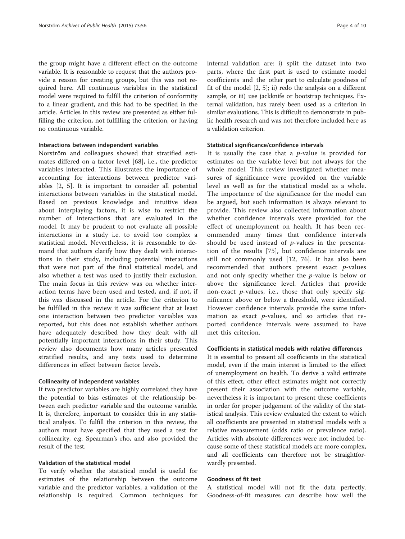the group might have a different effect on the outcome variable. It is reasonable to request that the authors provide a reason for creating groups, but this was not required here. All continuous variables in the statistical model were required to fulfill the criterion of conformity to a linear gradient, and this had to be specified in the article. Articles in this review are presented as either fulfilling the criterion, not fulfilling the criterion, or having no continuous variable.

#### Interactions between independent variables

Norström and colleagues showed that stratified estimates differed on a factor level [[68](#page-9-0)], i.e., the predictor variables interacted. This illustrates the importance of accounting for interactions between predictor variables [[2, 5](#page-8-0)]. It is important to consider all potential interactions between variables in the statistical model. Based on previous knowledge and intuitive ideas about interplaying factors, it is wise to restrict the number of interactions that are evaluated in the model. It may be prudent to not evaluate all possible interactions in a study i.e. to avoid too complex a statistical model. Nevertheless, it is reasonable to demand that authors clarify how they dealt with interactions in their study, including potential interactions that were not part of the final statistical model, and also whether a test was used to justify their exclusion. The main focus in this review was on whether interaction terms have been used and tested, and, if not, if this was discussed in the article. For the criterion to be fulfilled in this review it was sufficient that at least one interaction between two predictor variables was reported, but this does not establish whether authors have adequately described how they dealt with all potentially important interactions in their study. This review also documents how many articles presented stratified results, and any tests used to determine differences in effect between factor levels.

#### Collinearity of independent variables

If two predictor variables are highly correlated they have the potential to bias estimates of the relationship between each predictor variable and the outcome variable. It is, therefore, important to consider this in any statistical analysis. To fulfill the criterion in this review, the authors must have specified that they used a test for collinearity, e.g. Spearman's rho, and also provided the result of the test.

#### Validation of the statistical model

To verify whether the statistical model is useful for estimates of the relationship between the outcome variable and the predictor variables, a validation of the relationship is required. Common techniques for internal validation are: i) split the dataset into two parts, where the first part is used to estimate model coefficients and the other part to calculate goodness of fit of the model [[2, 5](#page-8-0)]; ii) redo the analysis on a different sample, or iii) use jackknife or bootstrap techniques. External validation, has rarely been used as a criterion in similar evaluations. This is difficult to demonstrate in public health research and was not therefore included here as a validation criterion.

#### Statistical significance/confidence intervals

It is usually the case that a  $p$ -value is provided for estimates on the variable level but not always for the whole model. This review investigated whether measures of significance were provided on the variable level as well as for the statistical model as a whole. The importance of the significance for the model can be argued, but such information is always relevant to provide. This review also collected information about whether confidence intervals were provided for the effect of unemployment on health. It has been recommended many times that confidence intervals should be used instead of  $p$ -values in the presentation of the results [\[75](#page-9-0)], but confidence intervals are still not commonly used [[12,](#page-8-0) [76\]](#page-9-0). It has also been recommended that authors present exact p-values and not only specify whether the  $p$ -value is below or above the significance level. Articles that provide non-exact  $p$ -values, i.e., those that only specify significance above or below a threshold, were identified. However confidence intervals provide the same information as exact  $p$ -values, and so articles that reported confidence intervals were assumed to have met this criterion.

# Coefficients in statistical models with relative differences

It is essential to present all coefficients in the statistical model, even if the main interest is limited to the effect of unemployment on health. To derive a valid estimate of this effect, other effect estimates might not correctly present their association with the outcome variable, nevertheless it is important to present these coefficients in order for proper judgement of the validity of the statistical analysis. This review evaluated the extent to which all coefficients are presented in statistical models with a relative measurement (odds ratio or prevalence ratio). Articles with absolute differences were not included because some of these statistical models are more complex, and all coefficients can therefore not be straightforwardly presented.

#### Goodness of fit test

A statistical model will not fit the data perfectly. Goodness-of-fit measures can describe how well the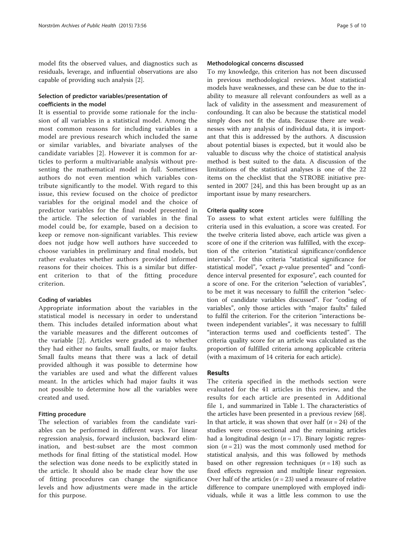model fits the observed values, and diagnostics such as residuals, leverage, and influential observations are also capable of providing such analysis [\[2\]](#page-8-0).

# Selection of predictor variables/presentation of coefficients in the model

It is essential to provide some rationale for the inclusion of all variables in a statistical model. Among the most common reasons for including variables in a model are previous research which included the same or similar variables, and bivariate analyses of the candidate variables [[2](#page-8-0)]. However it is common for articles to perform a multivariable analysis without presenting the mathematical model in full. Sometimes authors do not even mention which variables contribute significantly to the model. With regard to this issue, this review focused on the choice of predictor variables for the original model and the choice of predictor variables for the final model presented in the article. The selection of variables in the final model could be, for example, based on a decision to keep or remove non-significant variables. This review does not judge how well authors have succeeded to choose variables in preliminary and final models, but rather evaluates whether authors provided informed reasons for their choices. This is a similar but different criterion to that of the fitting procedure criterion.

### Coding of variables

Appropriate information about the variables in the statistical model is necessary in order to understand them. This includes detailed information about what the variable measures and the different outcomes of the variable [[2](#page-8-0)]. Articles were graded as to whether they had either no faults, small faults, or major faults. Small faults means that there was a lack of detail provided although it was possible to determine how the variables are used and what the different values meant. In the articles which had major faults it was not possible to determine how all the variables were created and used.

### Fitting procedure

The selection of variables from the candidate variables can be performed in different ways. For linear regression analysis, forward inclusion, backward elimination, and best-subset are the most common methods for final fitting of the statistical model. How the selection was done needs to be explicitly stated in the article. It should also be made clear how the use of fitting procedures can change the significance levels and how adjustments were made in the article for this purpose.

#### Methodological concerns discussed

To my knowledge, this criterion has not been discussed in previous methodological reviews. Most statistical models have weaknesses, and these can be due to the inability to measure all relevant confounders as well as a lack of validity in the assessment and measurement of confounding. It can also be because the statistical model simply does not fit the data. Because there are weaknesses with any analysis of individual data, it is important that this is addressed by the authors. A discussion about potential biases is expected, but it would also be valuable to discuss why the choice of statistical analysis method is best suited to the data. A discussion of the limitations of the statistical analyses is one of the 22 items on the checklist that the STROBE initiative presented in 2007 [\[24\]](#page-8-0), and this has been brought up as an important issue by many researchers.

# Criteria quality score

To assess to what extent articles were fulfilling the criteria used in this evaluation, a score was created. For the twelve criteria listed above, each article was given a score of one if the criterion was fulfilled, with the exception of the criterion "statistical significance/confidence intervals". For this criteria "statistical significance for statistical model", "exact  $p$ -value presented" and "confidence interval presented for exposure", each counted for a score of one. For the criterion "selection of variables", to be met it was necessary to fulfill the criterion "selection of candidate variables discussed". For "coding of variables", only those articles with "major faults" failed to fulfil the criterion. For the criterion "interactions between independent variables", it was necessary to fulfill "interaction terms used and coefficients tested". The criteria quality score for an article was calculated as the proportion of fulfilled criteria among applicable criteria (with a maximum of 14 criteria for each article).

### Results

The criteria specified in the methods section were evaluated for the 41 articles in this review, and the results for each article are presented in Additional file [1,](#page-8-0) and summarized in Table [1](#page-2-0). The characteristics of the articles have been presented in a previous review [[68](#page-9-0)]. In that article, it was shown that over half  $(n = 24)$  of the studies were cross-sectional and the remaining articles had a longitudinal design ( $n = 17$ ). Binary logistic regression  $(n = 21)$  was the most commonly used method for statistical analysis, and this was followed by methods based on other regression techniques  $(n = 18)$  such as fixed effects regression and multiple linear regression. Over half of the articles ( $n = 23$ ) used a measure of relative difference to compare unemployed with employed individuals, while it was a little less common to use the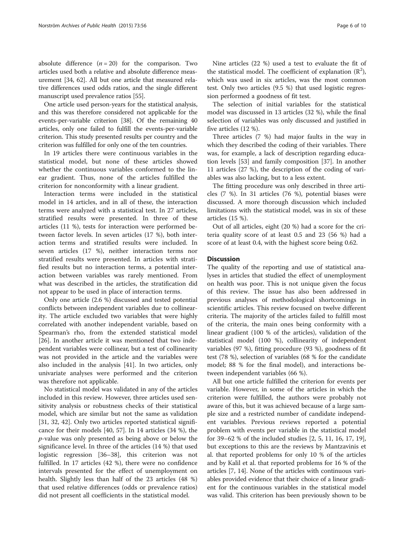absolute difference  $(n = 20)$  for the comparison. Two articles used both a relative and absolute difference measurement [\[34](#page-8-0), [62](#page-9-0)]. All but one article that measured relative differences used odds ratios, and the single different manuscript used prevalence ratios [[55](#page-9-0)].

One article used person-years for the statistical analysis, and this was therefore considered not applicable for the events-per-variable criterion [\[38\]](#page-9-0). Of the remaining 40 articles, only one failed to fulfill the events-per-variable criterion. This study presented results per country and the criterion was fulfilled for only one of the ten countries.

In 19 articles there were continuous variables in the statistical model, but none of these articles showed whether the continuous variables conformed to the linear gradient. Thus, none of the articles fulfilled the criterion for nonconformity with a linear gradient.

Interaction terms were included in the statistical model in 14 articles, and in all of these, the interaction terms were analyzed with a statistical test. In 27 articles, stratified results were presented. In three of these articles (11 %), tests for interaction were performed between factor levels. In seven articles (17 %), both interaction terms and stratified results were included. In seven articles (17 %), neither interaction terms nor stratified results were presented. In articles with stratified results but no interaction terms, a potential interaction between variables was rarely mentioned. From what was described in the articles, the stratification did not appear to be used in place of interaction terms.

Only one article (2.6 %) discussed and tested potential conflicts between independent variables due to collinearity. The article excluded two variables that were highly correlated with another independent variable, based on Spearman's rho, from the extended statistical model [[26\]](#page-8-0). In another article it was mentioned that two independent variables were collinear, but a test of collinearity was not provided in the article and the variables were also included in the analysis [\[41\]](#page-9-0). In two articles, only univariate analyses were performed and the criterion was therefore not applicable.

No statistical model was validated in any of the articles included in this review. However, three articles used sensitivity analysis or robustness checks of their statistical model, which are similar but not the same as validation [[31, 32,](#page-8-0) [42](#page-9-0)]. Only two articles reported statistical significance for their models [[40](#page-9-0), [57\]](#page-9-0). In 14 articles (34 %), the p-value was only presented as being above or below the significance level. In three of the articles (14 %) that used logistic regression [\[36](#page-8-0)–[38\]](#page-9-0), this criterion was not fulfilled. In 17 articles (42 %), there were no confidence intervals presented for the effect of unemployment on health. Slightly less than half of the 23 articles (48 %) that used relative differences (odds or prevalence ratios) did not present all coefficients in the statistical model.

The selection of initial variables for the statistical model was discussed in 13 articles (32 %), while the final selection of variables was only discussed and justified in five articles (12 %).

Three articles (7 %) had major faults in the way in which they described the coding of their variables. There was, for example, a lack of description regarding education levels [[53\]](#page-9-0) and family composition [[37\]](#page-8-0). In another 11 articles (27 %), the description of the coding of variables was also lacking, but to a less extent.

The fitting procedure was only described in three articles (7 %). In 31 articles (76 %), potential biases were discussed. A more thorough discussion which included limitations with the statistical model, was in six of these articles (15 %).

Out of all articles, eight (20 %) had a score for the criteria quality score of at least 0.5 and 23 (56 %) had a score of at least 0.4, with the highest score being 0.62.

### **Discussion**

The quality of the reporting and use of statistical analyses in articles that studied the effect of unemployment on health was poor. This is not unique given the focus of this review. The issue has also been addressed in previous analyses of methodological shortcomings in scientific articles. This review focused on twelve different criteria. The majority of the articles failed to fulfill most of the criteria, the main ones being conformity with a linear gradient (100 % of the articles), validation of the statistical model (100 %), collinearity of independent variables (97 %), fitting procedure (93 %), goodness of fit test (78 %), selection of variables (68 % for the candidate model; 88 % for the final model), and interactions between independent variables (66 %).

All but one article fulfilled the criterion for events per variable. However, in some of the articles in which the criterion were fulfilled, the authors were probably not aware of this, but it was achieved because of a large sample size and a restricted number of candidate independent variables. Previous reviews reported a potential problem with events per variable in the statistical model for 39–62 % of the included studies [[2, 5, 11](#page-8-0), [16](#page-8-0), [17](#page-8-0), [19](#page-8-0)], but exceptions to this are the reviews by Mantzavinis et al. that reported problems for only 10 % of the articles and by Kalil et al. that reported problems for 16 % of the articles [\[7](#page-8-0), [14](#page-8-0)]. None of the articles with continuous variables provided evidence that their choice of a linear gradient for the continuous variables in the statistical model was valid. This criterion has been previously shown to be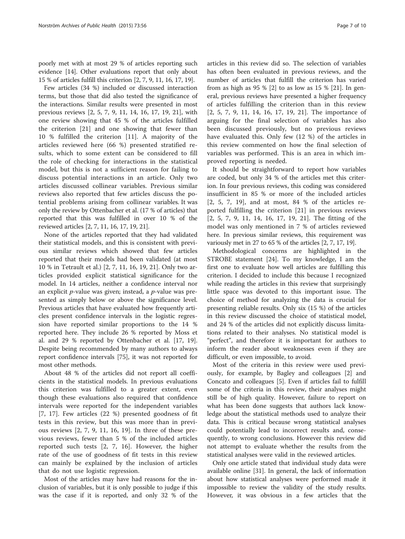poorly met with at most 29 % of articles reporting such evidence [\[14\]](#page-8-0). Other evaluations report that only about 15 % of articles fulfill this criterion [\[2, 7](#page-8-0), [9, 11](#page-8-0), [16, 17, 19](#page-8-0)].

Few articles (34 %) included or discussed interaction terms, but those that did also tested the significance of the interactions. Similar results were presented in most previous reviews [\[2](#page-8-0), [5, 7, 9, 11](#page-8-0), [14, 16, 17](#page-8-0), [19, 21\]](#page-8-0), with one review showing that 45 % of the articles fulfilled the criterion [\[21](#page-8-0)] and one showing that fewer than 10 % fulfilled the criterion [[11\]](#page-8-0). A majority of the articles reviewed here (66 %) presented stratified results, which to some extent can be considered to fill the role of checking for interactions in the statistical model, but this is not a sufficient reason for failing to discuss potential interactions in an article. Only two articles discussed collinear variables. Previous similar reviews also reported that few articles discuss the potential problems arising from collinear variables. It was only the review by Ottenbacher et al. (17 % of articles) that reported that this was fulfilled in over 10 % of the reviewed articles [[2](#page-8-0), [7](#page-8-0), [11](#page-8-0), [16, 17](#page-8-0), [19](#page-8-0), [21\]](#page-8-0).

None of the articles reported that they had validated their statistical models, and this is consistent with previous similar reviews which showed that few articles reported that their models had been validated (at most 10 % in Tetrault et al.) [\[2](#page-8-0), [7](#page-8-0), [11](#page-8-0), [16, 19, 21\]](#page-8-0). Only two articles provided explicit statistical significance for the model. In 14 articles, neither a confidence interval nor an explicit p-value was given; instead, a p-value was presented as simply below or above the significance level. Previous articles that have evaluated how frequently articles present confidence intervals in the logistic regression have reported similar proportions to the 14 % reported here. They include 26 % reported by Moss et al. and 29 % reported by Ottenbacher et al. [\[17](#page-8-0), [19](#page-8-0)]. Despite being recommended by many authors to always report confidence intervals [\[75](#page-9-0)], it was not reported for most other methods.

About 48 % of the articles did not report all coefficients in the statistical models. In previous evaluations this criterion was fulfilled to a greater extent, even though these evaluations also required that confidence intervals were reported for the independent variables [[7, 17\]](#page-8-0). Few articles (22 %) presented goodness of fit tests in this review, but this was more than in previous reviews [[2](#page-8-0), [7](#page-8-0), [9](#page-8-0), [11](#page-8-0), [16, 19\]](#page-8-0). In three of these previous reviews, fewer than 5 % of the included articles reported such tests [[2, 7](#page-8-0), [16](#page-8-0)]. However, the higher rate of the use of goodness of fit tests in this review can mainly be explained by the inclusion of articles that do not use logistic regression.

Most of the articles may have had reasons for the inclusion of variables, but it is only possible to judge if this was the case if it is reported, and only 32 % of the

articles in this review did so. The selection of variables has often been evaluated in previous reviews, and the number of articles that fulfill the criterion has varied from as high as 95 % [\[2\]](#page-8-0) to as low as 15 % [[21\]](#page-8-0). In general, previous reviews have presented a higher frequency of articles fulfilling the criterion than in this review [[2, 5, 7](#page-8-0), [9, 11, 14](#page-8-0), [16, 17, 19](#page-8-0), [21\]](#page-8-0). The importance of arguing for the final selection of variables has also been discussed previously, but no previous reviews have evaluated this. Only few (12 %) of the articles in this review commented on how the final selection of variables was performed. This is an area in which improved reporting is needed.

It should be straightforward to report how variables are coded, but only 34 % of the articles met this criterion. In four previous reviews, this coding was considered insufficient in 85 % or more of the included articles [[2](#page-8-0), [5, 7, 19\]](#page-8-0), and at most, 84 % of the articles reported fulfilling the criterion [\[21](#page-8-0)] in previous reviews [[2, 5, 7](#page-8-0), [9](#page-8-0), [11](#page-8-0), [14](#page-8-0), [16](#page-8-0), [17](#page-8-0), [19](#page-8-0), [21](#page-8-0)]. The fitting of the model was only mentioned in 7 % of articles reviewed here. In previous similar reviews, this requirement was variously met in 27 to 65 % of the articles [[2, 7](#page-8-0), [17](#page-8-0), [19\]](#page-8-0).

Methodological concerns are highlighted in the STROBE statement [[24](#page-8-0)]. To my knowledge, I am the first one to evaluate how well articles are fulfilling this criterion. I decided to include this because I recognized while reading the articles in this review that surprisingly little space was devoted to this important issue. The choice of method for analyzing the data is crucial for presenting reliable results. Only six (15 %) of the articles in this review discussed the choice of statistical model, and 24 % of the articles did not explicitly discuss limitations related to their analyses. No statistical model is "perfect", and therefore it is important for authors to inform the reader about weaknesses even if they are difficult, or even impossible, to avoid.

Most of the criteria in this review were used previously, for example, by Bagley and colleagues [[2\]](#page-8-0) and Concato and colleagues [[5\]](#page-8-0). Even if articles fail to fulfill some of the criteria in this review, their analyses might still be of high quality. However, failure to report on what has been done suggests that authors lack knowledge about the statistical methods used to analyze their data. This is critical because wrong statistical analyses could potentially lead to incorrect results and, consequently, to wrong conclusions. However this review did not attempt to evaluate whether the results from the statistical analyses were valid in the reviewed articles.

Only one article stated that individual study data were available online [\[31](#page-8-0)]. In general, the lack of information about how statistical analyses were performed made it impossible to review the validity of the study results. However, it was obvious in a few articles that the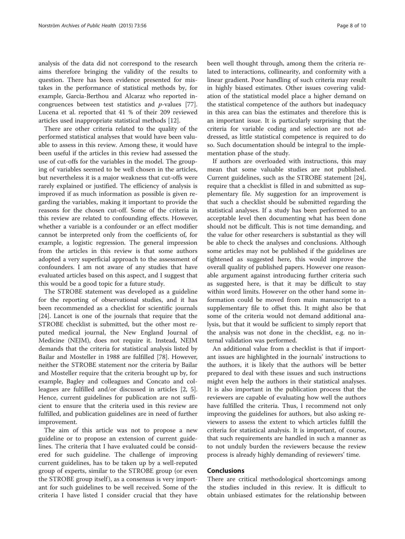analysis of the data did not correspond to the research aims therefore bringing the validity of the results to question. There has been evidence presented for mistakes in the performance of statistical methods by, for example, Garcia-Berthou and Alcaraz who reported incongruences between test statistics and p-values [\[77](#page-9-0)]. Lucena et al. reported that 41 % of their 209 reviewed articles used inappropriate statistical methods [\[12](#page-8-0)].

There are other criteria related to the quality of the performed statistical analyses that would have been valuable to assess in this review. Among these, it would have been useful if the articles in this review had assessed the use of cut-offs for the variables in the model. The grouping of variables seemed to be well chosen in the articles, but nevertheless it is a major weakness that cut-offs were rarely explained or justified. The efficiency of analysis is improved if as much information as possible is given regarding the variables, making it important to provide the reasons for the chosen cut-off. Some of the criteria in this review are related to confounding effects. However, whether a variable is a confounder or an effect modifier cannot be interpreted only from the coefficients of, for example, a logistic regression. The general impression from the articles in this review is that some authors adopted a very superficial approach to the assessment of confounders. I am not aware of any studies that have evaluated articles based on this aspect, and I suggest that this would be a good topic for a future study.

The STROBE statement was developed as a guideline for the reporting of observational studies, and it has been recommended as a checklist for scientific journals [[24\]](#page-8-0). Lancet is one of the journals that require that the STROBE checklist is submitted, but the other most reputed medical journal, the New England Journal of Medicine (NEJM), does not require it. Instead, NEJM demands that the criteria for statistical analysis listed by Bailar and Mosteller in 1988 are fulfilled [[78\]](#page-9-0). However, neither the STROBE statement nor the criteria by Bailar and Mosteller require that the criteria brought up by, for example, Bagley and colleagues and Concato and colleagues are fulfilled and/or discussed in articles [[2](#page-8-0), [5](#page-8-0)]. Hence, current guidelines for publication are not sufficient to ensure that the criteria used in this review are fulfilled, and publication guidelines are in need of further improvement.

The aim of this article was not to propose a new guideline or to propose an extension of current guidelines. The criteria that I have evaluated could be considered for such guideline. The challenge of improving current guidelines, has to be taken up by a well-reputed group of experts, similar to the STROBE group (or even the STROBE group itself), as a consensus is very important for such guidelines to be well received. Some of the criteria I have listed I consider crucial that they have

been well thought through, among them the criteria related to interactions, collinearity, and conformity with a linear gradient. Poor handling of such criteria may result in highly biased estimates. Other issues covering validation of the statistical model place a higher demand on the statistical competence of the authors but inadequacy in this area can bias the estimates and therefore this is an important issue. It is particularly surprising that the criteria for variable coding and selection are not addressed, as little statistical competence is required to do so. Such documentation should be integral to the implementation phase of the study.

If authors are overloaded with instructions, this may mean that some valuable studies are not published. Current guidelines, such as the STROBE statement [\[24](#page-8-0)], require that a checklist is filled in and submitted as supplementary file. My suggestion for an improvement is that such a checklist should be submitted regarding the statistical analyses. If a study has been performed to an acceptable level then documenting what has been done should not be difficult. This is not time demanding, and the value for other researchers is substantial as they will be able to check the analyses and conclusions. Although some articles may not be published if the guidelines are tightened as suggested here, this would improve the overall quality of published papers. However one reasonable argument against introducing further criteria such as suggested here, is that it may be difficult to stay within word limits. However on the other hand some information could be moved from main manuscript to a supplementary file to offset this. It might also be that some of the criteria would not demand additional analysis, but that it would be sufficient to simply report that the analysis was not done in the checklist, e.g. no internal validation was performed.

An additional value from a checklist is that if important issues are highlighted in the journals' instructions to the authors, it is likely that the authors will be better prepared to deal with these issues and such instructions might even help the authors in their statistical analyses. It is also important in the publication process that the reviewers are capable of evaluating how well the authors have fulfilled the criteria. Thus, I recommend not only improving the guidelines for authors, but also asking reviewers to assess the extent to which articles fulfill the criteria for statistical analysis. It is important, of course, that such requirements are handled in such a manner as to not unduly burden the reviewers because the review process is already highly demanding of reviewers' time.

#### Conclusions

There are critical methodological shortcomings among the studies included in this review. It is difficult to obtain unbiased estimates for the relationship between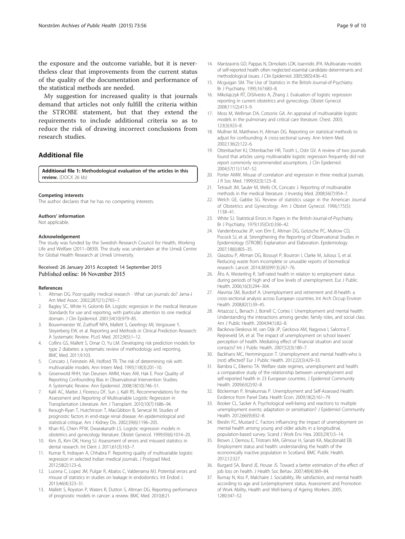<span id="page-8-0"></span>the exposure and the outcome variable, but it is nevertheless clear that improvements from the current status of the quality of the documentation and performance of the statistical methods are needed.

My suggestion for increased quality is that journals demand that articles not only fulfill the criteria within the STROBE statement, but that they extend the requirements to include additional criteria so as to reduce the risk of drawing incorrect conclusions from research studies.

# Additional file

[Additional file 1:](http://dx.doi.org/10.1186/s13690-015-0096-6) Methodological evaluation of the articles in this review. (DOCX 26 kb)

#### Competing interests

The author declares that he has no competing interests.

#### Authors' information

Not applicable.

#### Acknowledgement

The study was funded by the Swedish Research Council for Health, Working Life and Welfare (2011–0839). The study was undertaken at the Umeå Centre for Global Health Research at Umeå University.

#### Received: 26 January 2015 Accepted: 14 September 2015 Published online: 16 November 2015

#### References

- Altman DG. Poor-quality medical research What can journals do? Jama-J Am Med Assoc. 2002;287(21):2765–7.
- 2. Bagley SC, White H, Golomb BA. Logistic regression in the medical literature: Standards for use and reporting, with particular attention to one medical domain. J Clin Epidemiol. 2001;54(10):979–85.
- 3. Bouwmeester W, Zuithoff NPA, Mallett S, Geerlings MI, Vergouwe Y, Steyerberg EW, et al. Reporting and Methods in Clinical Prediction Research: A Systematic Review. PLoS Med. 2012;9(5):1–12.
- 4. Collins GS, Mallett S, Omar O, Yu LM. Developing risk prediction models for type 2 diabetes: a systematic review of methodology and reporting. BMC Med. 2011;9:103.
- 5. Concato J, Feinstein AR, Holford TR. The risk of determining risk with multivariable models. Ann Intern Med. 1993;118(3):201–10.
- 6. Groenwold RHH, Van Deursen AMM, Hoes AW, Hak E. Poor Quality of Reporting Confounding Bias in Observational Intervention Studies: A Systematic Review. Ann Epidemiol. 2008;18(10):746–51.
- 7. Kalil AC, Mattei J, Florescu DF, Sun J, Kalil RS. Recommendations for the Assessment and Reporting of Multivariable Logistic Regression in Transplantation Literature. Am J Transplant. 2010;10(7):1686–94.
- 8. Keough-Ryan T, Hutchinson T, MacGibbon B, Senecal M. Studies of prognostic factors in end-stage renal disease: An epidemiological and statistical critique. Am J Kidney Dis. 2002;39(6):1196–205.
- Khan KS, Chien PFW, Dwarakanath LS. Logistic regression models in obstetrics and gynecology literature. Obstet Gynecol. 1999;93(6):1014–20.
- 10. Kim JS, Kim DK, Hong SJ. Assessment of errors and misused statistics in dental research. Int Dent J. 2011;61(3):163–7.
- 11. Kumar R, Indrayan A, Chhabra P. Reporting quality of multivariable logistic regression in selected Indian medical journals. J Postgrad Med. 2012;58(2):123–6.
- 12. Lucena C, Lopez JM, Pulgar R, Abalos C, Valderrama MJ. Potential errors and misuse of statistics in studies on leakage in endodontics. Int Endod J. 2013;46(4):323–31.
- 13. Mallett S, Royston P, Waters R, Dutton S, Altman DG. Reporting performance of prognostic models in cancer: a review. BMC Med. 2010;8:21.
- 14. Mantzavinis GD, Pappas N, Dimoliatis LDK, Ioannidis JPA. Multivariate models of self-reported health often neglected essential candidate determinants and methodological issues. J Clin Epidemiol. 2005;58(5):436–43.
- 15. Mcguigan SM. The Use of Statistics in the British-Journal-of-Psychiatry. Br J Psychiatry. 1995;167:683–8.
- 16. Mikolajczyk RT, DiSilvesto A, Zhang J. Evaluation of logistic regression reporting in current obstetrics and gynecology. Obstet Gynecol. 2008;111(2):413–9.
- 17. Moss M, Wellman DA, Cotsonis GA. An appraisal of multivariable logistic models in the pulmonary and critical care literature. Chest. 2003; 123(3):923–8.
- 18. Mullner M, Matthews H, Altman DG. Reporting on statistical methods to adjust for confounding: A cross-sectional survey. Ann Intern Med. 2002;136(2):122–6.
- 19. Ottenbacher KJ, Ottenbacher HR, Tooth L, Ostir GV. A review of two journals found that articles using multivariable logistic regression frequently did not report commonly recommended assumptions. J Clin Epidemiol. 2004;57(11):1147–52.
- 20. Porter AMW. Misuse of correlation and regression in three medical journals. J R Soc Med. 1999;92(3):123–8.
- 21. Tetrault JM, Sauler M, Wells CK, Concato J. Reporting of multivariable methods in the medical literature. J Investig Med. 2008;56(7):954–7.
- 22. Welch GE, Gabbe SG. Review of statistics usage in the American Journal of Obstetrics and Gynecology. Am J Obstet Gynecol. 1996;175(5): 1138–41.
- 23. White SJ. Statistical Errors in Papers in the British-Journal-of-Psychiatry. Br J Psychiatry. 1979;135(Oct):336–42.
- 24. Vandenbroucke JP, von Elm E, Altman DG, Gotzsche PC, Mulrow CD, Pocock SJ, et al. Strengthening the Reporting of Observational Studies in Epidemiology (STROBE) Explanation and Elaboration. Epidemiology. 2007;18(6):805–35.
- 25. Glasziou P, Altman DG, Bossuyt P, Boutron I, Clarke M, Julious S, et al. Reducing waste from incomplete or unusable reports of biomedical research. Lancet. 2014;383(9913):267–76.
- 26. Åhs A, Westerling R. Self-rated health in relation to employment status during periods of high and of low levels of unemployment. Eur J Public Health. 2006;16(3):294–304.
- 27. Alavinia SM, Burdorf A. Unemployment and retirement and ill-health: a cross-sectional analysis across European countries. Int Arch Occup Environ Health. 2008;82(1):39–45.
- 28. Artazcoz L, Benach J, Borrell C, Cortes I. Unemployment and mental health: Understanding the interactions among gender, family roles, and social class. Am J Public Health. 2004;94(1):82–8.
- 29. Bacikova-Sleskova M, van Dijk JP, Geckova AM, Nagyova I, Salonna F, Reijneveld SA, et al. The impact of unemployment on school leavers' perception of health. Mediating effect of financial situation and social contacts? Int J Public Health. 2007;52(3):180–7.
- 30. Backhans MC, Hemmingsson T. Unemployment and mental health-who is (not) affected? Eur J Public Health. 2012;22(3):429–33.
- 31. Bambra C, Eikemo TA. Welfare state regimes, unemployment and health: a comparative study of the relationship between unemployment and self-reported health in 23 European countries. J Epidemiol Community Health. 2009;63(2):92–8.
- 32. Böckerman P, Ilmakunnas P. Unemployment and Self-Assessed Health: Evidence from Panel Data. Health Econ. 2009;18(2):161–79.
- 33. Booker CL, Sacker A. Psychological well-being and reactions to multiple unemployment events: adaptation or sensitisation? J Epidemiol Community Health. 2012;66(9):832–8.
- 34. Breslin FC, Mustard C. Factors influencing the impact of unemployment on mental health among young and older adults in a longitudinal, population-based survey. Scand J Work Env Hea. 2003;29(1):5–14.
- 35. Brown J, Demou E, Tristram MA, Gilmour H, Sanati KA, Macdonald EB. Employment status and health: understanding the health of the economically inactive population in Scotland. BMC Public Health. 2012;12:327.
- 36. Burgard SA, Brand JE, House JS. Toward a better estimation of the effect of job loss on health. J Health Soc Behav. 2007;48(4):369–84.
- 37. Burnay N, Kiss P, Malchaire J. Sociability, life satisfaction, and mental health according to age and (un)employment status. Assessment and Promotion of Work Ability, Health and Well-being of Ageing Workers. 2005; 1280:347–52.